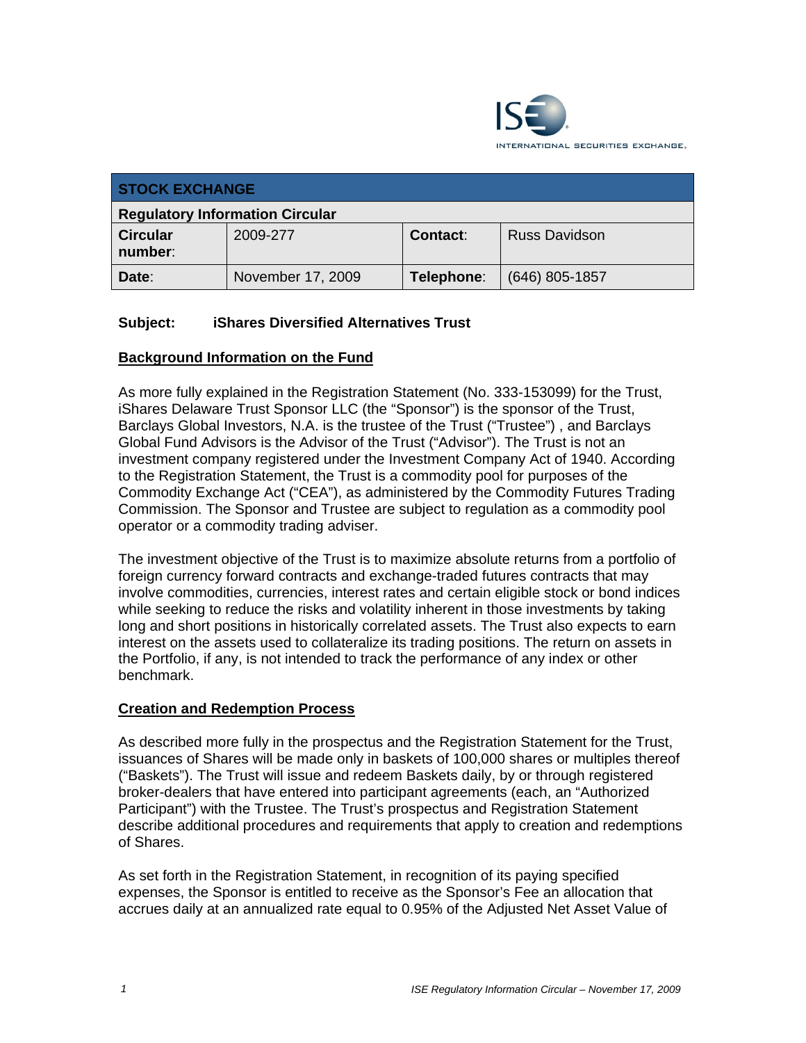

| <b>STOCK EXCHANGE</b>                  |                   |                 |                      |  |  |
|----------------------------------------|-------------------|-----------------|----------------------|--|--|
| <b>Regulatory Information Circular</b> |                   |                 |                      |  |  |
| <b>Circular</b><br>number:             | 2009-277          | <b>Contact:</b> | <b>Russ Davidson</b> |  |  |
| Date:                                  | November 17, 2009 | Telephone:      | $(646)$ 805-1857     |  |  |

## **Subject: iShares Diversified Alternatives Trust**

## **Background Information on the Fund**

As more fully explained in the Registration Statement (No. 333-153099) for the Trust, iShares Delaware Trust Sponsor LLC (the "Sponsor") is the sponsor of the Trust, Barclays Global Investors, N.A. is the trustee of the Trust ("Trustee") , and Barclays Global Fund Advisors is the Advisor of the Trust ("Advisor"). The Trust is not an investment company registered under the Investment Company Act of 1940. According to the Registration Statement, the Trust is a commodity pool for purposes of the Commodity Exchange Act ("CEA"), as administered by the Commodity Futures Trading Commission. The Sponsor and Trustee are subject to regulation as a commodity pool operator or a commodity trading adviser.

The investment objective of the Trust is to maximize absolute returns from a portfolio of foreign currency forward contracts and exchange-traded futures contracts that may involve commodities, currencies, interest rates and certain eligible stock or bond indices while seeking to reduce the risks and volatility inherent in those investments by taking long and short positions in historically correlated assets. The Trust also expects to earn interest on the assets used to collateralize its trading positions. The return on assets in the Portfolio, if any, is not intended to track the performance of any index or other benchmark.

## **Creation and Redemption Process**

As described more fully in the prospectus and the Registration Statement for the Trust, issuances of Shares will be made only in baskets of 100,000 shares or multiples thereof ("Baskets"). The Trust will issue and redeem Baskets daily, by or through registered broker-dealers that have entered into participant agreements (each, an "Authorized Participant") with the Trustee. The Trust's prospectus and Registration Statement describe additional procedures and requirements that apply to creation and redemptions of Shares.

As set forth in the Registration Statement, in recognition of its paying specified expenses, the Sponsor is entitled to receive as the Sponsor's Fee an allocation that accrues daily at an annualized rate equal to 0.95% of the Adjusted Net Asset Value of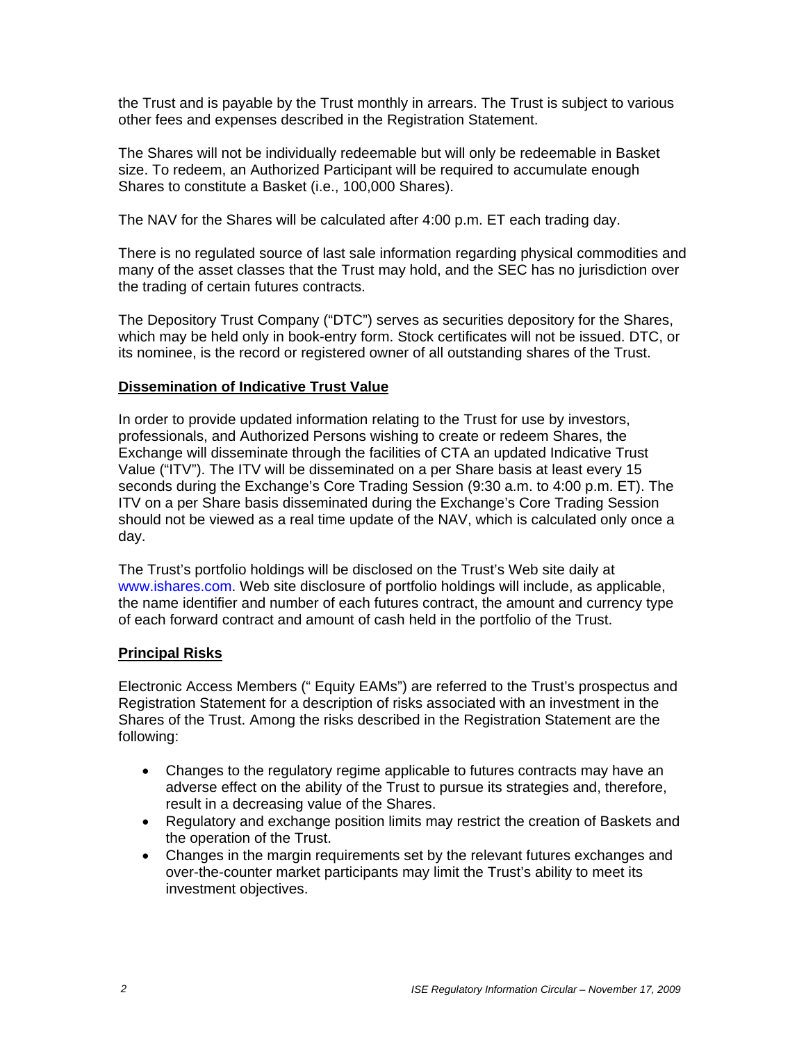the Trust and is payable by the Trust monthly in arrears. The Trust is subject to various other fees and expenses described in the Registration Statement.

The Shares will not be individually redeemable but will only be redeemable in Basket size. To redeem, an Authorized Participant will be required to accumulate enough Shares to constitute a Basket (i.e., 100,000 Shares).

The NAV for the Shares will be calculated after 4:00 p.m. ET each trading day.

There is no regulated source of last sale information regarding physical commodities and many of the asset classes that the Trust may hold, and the SEC has no jurisdiction over the trading of certain futures contracts.

The Depository Trust Company ("DTC") serves as securities depository for the Shares, which may be held only in book-entry form. Stock certificates will not be issued. DTC, or its nominee, is the record or registered owner of all outstanding shares of the Trust.

## **Dissemination of Indicative Trust Value**

In order to provide updated information relating to the Trust for use by investors, professionals, and Authorized Persons wishing to create or redeem Shares, the Exchange will disseminate through the facilities of CTA an updated Indicative Trust Value ("ITV"). The ITV will be disseminated on a per Share basis at least every 15 seconds during the Exchange's Core Trading Session (9:30 a.m. to 4:00 p.m. ET). The ITV on a per Share basis disseminated during the Exchange's Core Trading Session should not be viewed as a real time update of the NAV, which is calculated only once a day.

The Trust's portfolio holdings will be disclosed on the Trust's Web site daily at www.ishares.com. Web site disclosure of portfolio holdings will include, as applicable, the name identifier and number of each futures contract, the amount and currency type of each forward contract and amount of cash held in the portfolio of the Trust.

## **Principal Risks**

Electronic Access Members (" Equity EAMs") are referred to the Trust's prospectus and Registration Statement for a description of risks associated with an investment in the Shares of the Trust. Among the risks described in the Registration Statement are the following:

- Changes to the regulatory regime applicable to futures contracts may have an adverse effect on the ability of the Trust to pursue its strategies and, therefore, result in a decreasing value of the Shares.
- Regulatory and exchange position limits may restrict the creation of Baskets and the operation of the Trust.
- Changes in the margin requirements set by the relevant futures exchanges and over-the-counter market participants may limit the Trust's ability to meet its investment objectives.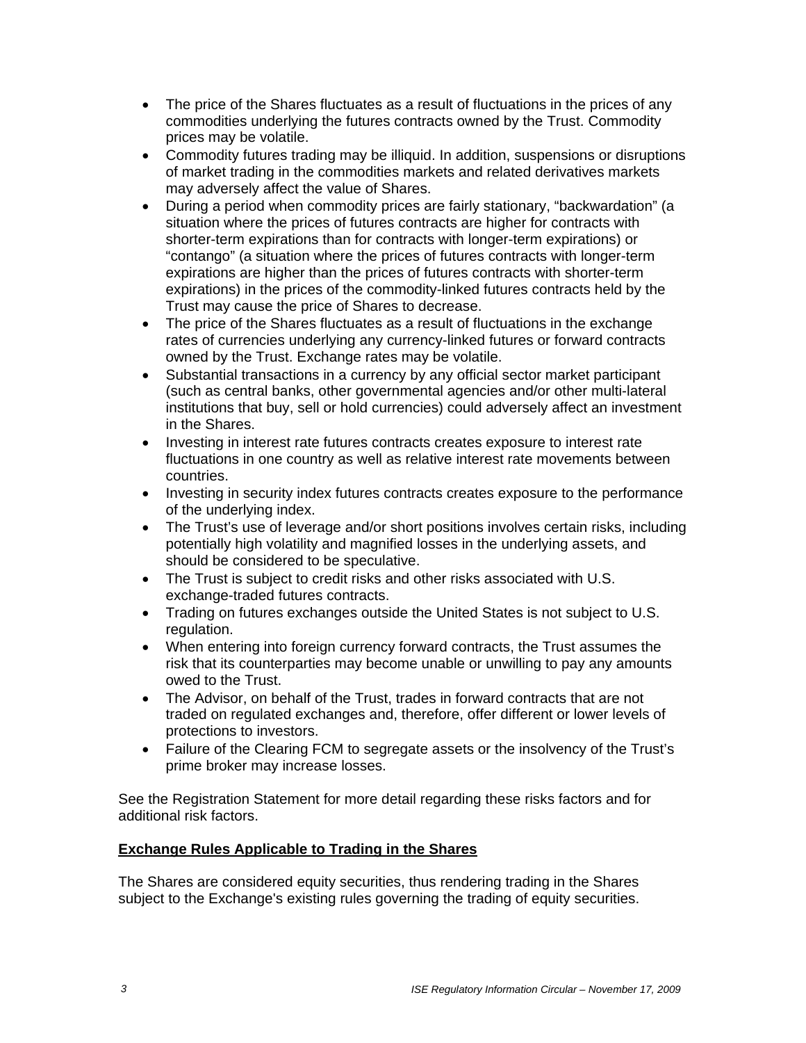- The price of the Shares fluctuates as a result of fluctuations in the prices of any commodities underlying the futures contracts owned by the Trust. Commodity prices may be volatile.
- Commodity futures trading may be illiquid. In addition, suspensions or disruptions of market trading in the commodities markets and related derivatives markets may adversely affect the value of Shares.
- During a period when commodity prices are fairly stationary, "backwardation" (a situation where the prices of futures contracts are higher for contracts with shorter-term expirations than for contracts with longer-term expirations) or "contango" (a situation where the prices of futures contracts with longer-term expirations are higher than the prices of futures contracts with shorter-term expirations) in the prices of the commodity-linked futures contracts held by the Trust may cause the price of Shares to decrease.
- The price of the Shares fluctuates as a result of fluctuations in the exchange rates of currencies underlying any currency-linked futures or forward contracts owned by the Trust. Exchange rates may be volatile.
- Substantial transactions in a currency by any official sector market participant (such as central banks, other governmental agencies and/or other multi-lateral institutions that buy, sell or hold currencies) could adversely affect an investment in the Shares.
- Investing in interest rate futures contracts creates exposure to interest rate fluctuations in one country as well as relative interest rate movements between countries.
- Investing in security index futures contracts creates exposure to the performance of the underlying index.
- The Trust's use of leverage and/or short positions involves certain risks, including potentially high volatility and magnified losses in the underlying assets, and should be considered to be speculative.
- The Trust is subject to credit risks and other risks associated with U.S. exchange-traded futures contracts.
- Trading on futures exchanges outside the United States is not subject to U.S. regulation.
- When entering into foreign currency forward contracts, the Trust assumes the risk that its counterparties may become unable or unwilling to pay any amounts owed to the Trust.
- The Advisor, on behalf of the Trust, trades in forward contracts that are not traded on regulated exchanges and, therefore, offer different or lower levels of protections to investors.
- Failure of the Clearing FCM to segregate assets or the insolvency of the Trust's prime broker may increase losses.

See the Registration Statement for more detail regarding these risks factors and for additional risk factors.

## **Exchange Rules Applicable to Trading in the Shares**

The Shares are considered equity securities, thus rendering trading in the Shares subject to the Exchange's existing rules governing the trading of equity securities.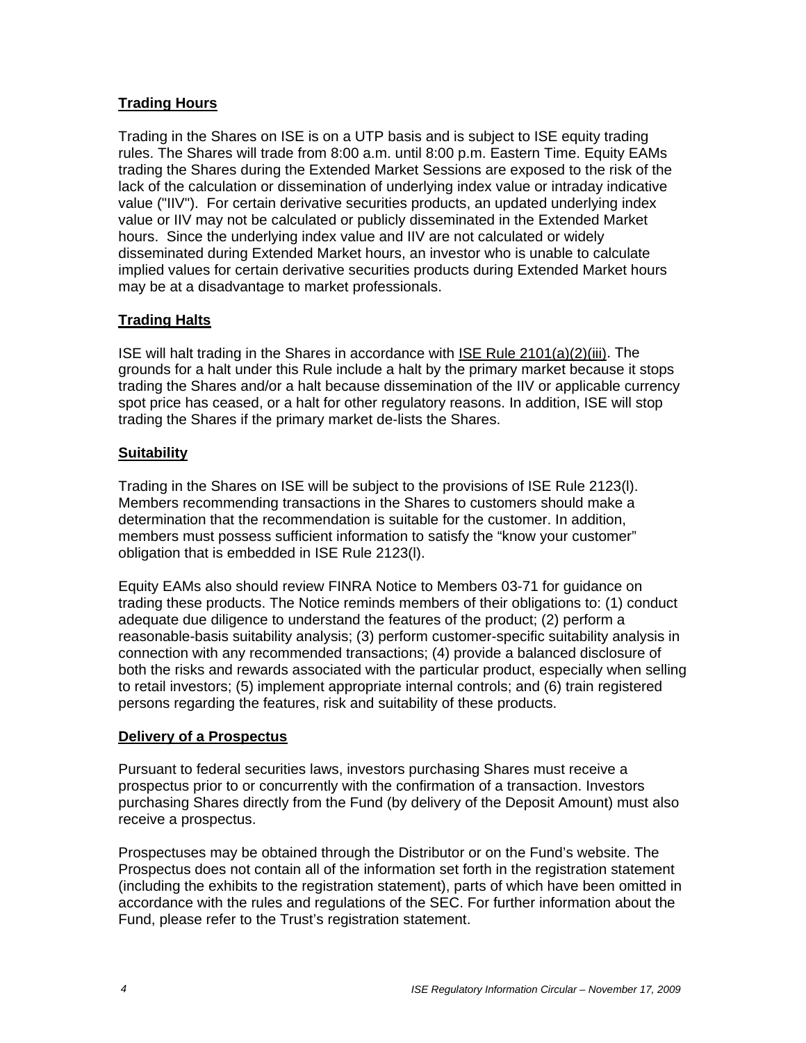## **Trading Hours**

Trading in the Shares on ISE is on a UTP basis and is subject to ISE equity trading rules. The Shares will trade from 8:00 a.m. until 8:00 p.m. Eastern Time. Equity EAMs trading the Shares during the Extended Market Sessions are exposed to the risk of the lack of the calculation or dissemination of underlying index value or intraday indicative value ("IIV"). For certain derivative securities products, an updated underlying index value or IIV may not be calculated or publicly disseminated in the Extended Market hours. Since the underlying index value and IIV are not calculated or widely disseminated during Extended Market hours, an investor who is unable to calculate implied values for certain derivative securities products during Extended Market hours may be at a disadvantage to market professionals.

## **Trading Halts**

ISE will halt trading in the Shares in accordance with ISE Rule 2101(a)(2)(iii). The grounds for a halt under this Rule include a halt by the primary market because it stops trading the Shares and/or a halt because dissemination of the IIV or applicable currency spot price has ceased, or a halt for other regulatory reasons. In addition, ISE will stop trading the Shares if the primary market de-lists the Shares.

## **Suitability**

Trading in the Shares on ISE will be subject to the provisions of ISE Rule 2123(l). Members recommending transactions in the Shares to customers should make a determination that the recommendation is suitable for the customer. In addition, members must possess sufficient information to satisfy the "know your customer" obligation that is embedded in ISE Rule 2123(l).

Equity EAMs also should review FINRA Notice to Members 03-71 for guidance on trading these products. The Notice reminds members of their obligations to: (1) conduct adequate due diligence to understand the features of the product; (2) perform a reasonable-basis suitability analysis; (3) perform customer-specific suitability analysis in connection with any recommended transactions; (4) provide a balanced disclosure of both the risks and rewards associated with the particular product, especially when selling to retail investors; (5) implement appropriate internal controls; and (6) train registered persons regarding the features, risk and suitability of these products.

## **Delivery of a Prospectus**

Pursuant to federal securities laws, investors purchasing Shares must receive a prospectus prior to or concurrently with the confirmation of a transaction. Investors purchasing Shares directly from the Fund (by delivery of the Deposit Amount) must also receive a prospectus.

Prospectuses may be obtained through the Distributor or on the Fund's website. The Prospectus does not contain all of the information set forth in the registration statement (including the exhibits to the registration statement), parts of which have been omitted in accordance with the rules and regulations of the SEC. For further information about the Fund, please refer to the Trust's registration statement.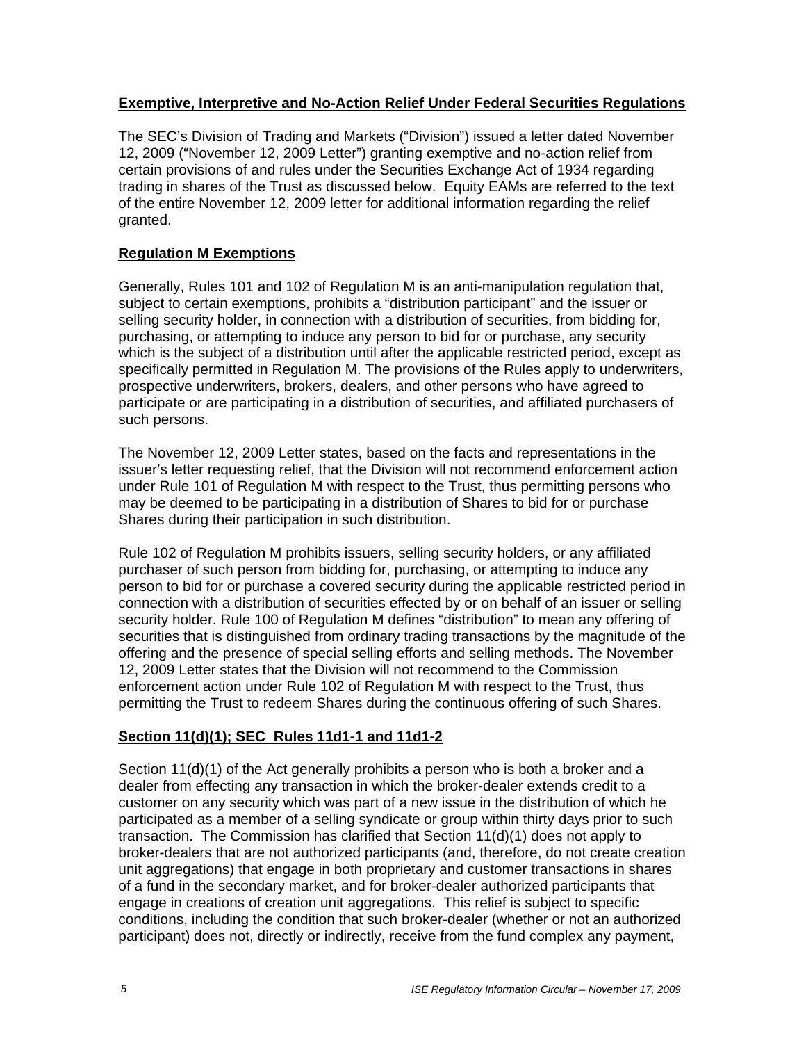## **Exemptive, Interpretive and No-Action Relief Under Federal Securities Regulations**

The SEC's Division of Trading and Markets ("Division") issued a letter dated November 12, 2009 ("November 12, 2009 Letter") granting exemptive and no-action relief from certain provisions of and rules under the Securities Exchange Act of 1934 regarding trading in shares of the Trust as discussed below. Equity EAMs are referred to the text of the entire November 12, 2009 letter for additional information regarding the relief granted.

## **Regulation M Exemptions**

Generally, Rules 101 and 102 of Regulation M is an anti-manipulation regulation that, subject to certain exemptions, prohibits a "distribution participant" and the issuer or selling security holder, in connection with a distribution of securities, from bidding for, purchasing, or attempting to induce any person to bid for or purchase, any security which is the subject of a distribution until after the applicable restricted period, except as specifically permitted in Regulation M. The provisions of the Rules apply to underwriters, prospective underwriters, brokers, dealers, and other persons who have agreed to participate or are participating in a distribution of securities, and affiliated purchasers of such persons.

The November 12, 2009 Letter states, based on the facts and representations in the issuer's letter requesting relief, that the Division will not recommend enforcement action under Rule 101 of Regulation M with respect to the Trust, thus permitting persons who may be deemed to be participating in a distribution of Shares to bid for or purchase Shares during their participation in such distribution.

Rule 102 of Regulation M prohibits issuers, selling security holders, or any affiliated purchaser of such person from bidding for, purchasing, or attempting to induce any person to bid for or purchase a covered security during the applicable restricted period in connection with a distribution of securities effected by or on behalf of an issuer or selling security holder. Rule 100 of Regulation M defines "distribution" to mean any offering of securities that is distinguished from ordinary trading transactions by the magnitude of the offering and the presence of special selling efforts and selling methods. The November 12, 2009 Letter states that the Division will not recommend to the Commission enforcement action under Rule 102 of Regulation M with respect to the Trust, thus permitting the Trust to redeem Shares during the continuous offering of such Shares.

## **Section 11(d)(1); SEC Rules 11d1-1 and 11d1-2**

Section 11(d)(1) of the Act generally prohibits a person who is both a broker and a dealer from effecting any transaction in which the broker-dealer extends credit to a customer on any security which was part of a new issue in the distribution of which he participated as a member of a selling syndicate or group within thirty days prior to such transaction. The Commission has clarified that Section 11(d)(1) does not apply to broker-dealers that are not authorized participants (and, therefore, do not create creation unit aggregations) that engage in both proprietary and customer transactions in shares of a fund in the secondary market, and for broker-dealer authorized participants that engage in creations of creation unit aggregations. This relief is subject to specific conditions, including the condition that such broker-dealer (whether or not an authorized participant) does not, directly or indirectly, receive from the fund complex any payment,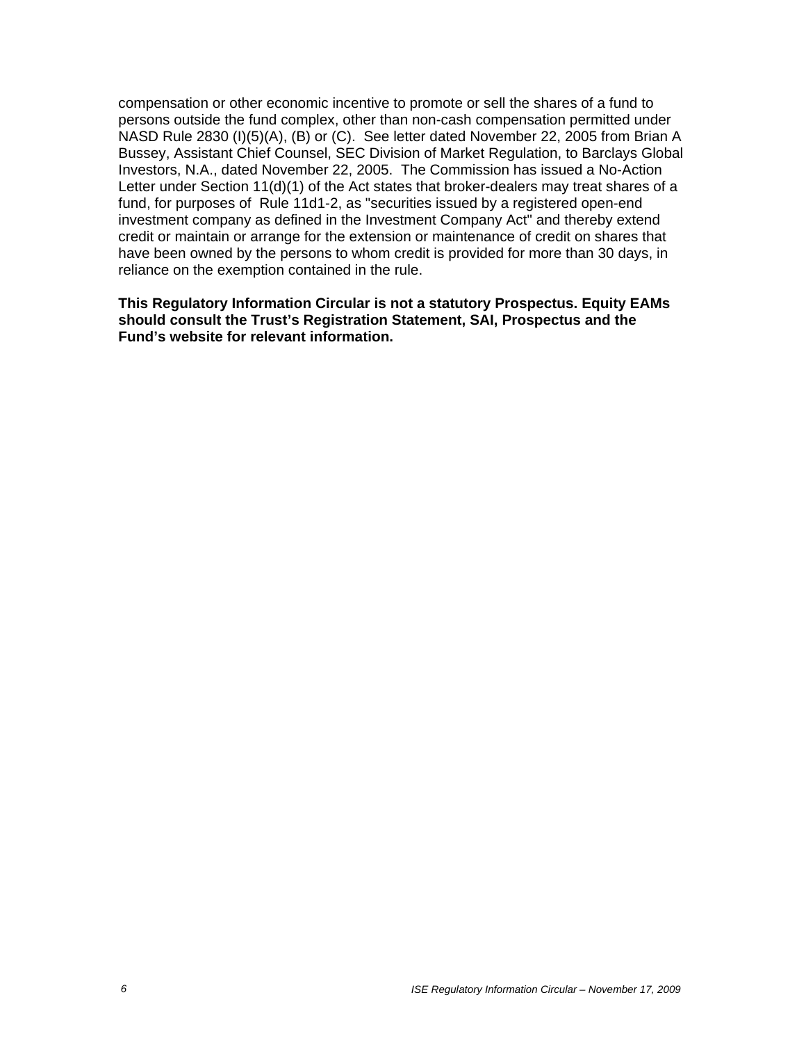compensation or other economic incentive to promote or sell the shares of a fund to persons outside the fund complex, other than non-cash compensation permitted under NASD Rule 2830 (I)(5)(A), (B) or (C). See letter dated November 22, 2005 from Brian A Bussey, Assistant Chief Counsel, SEC Division of Market Regulation, to Barclays Global Investors, N.A., dated November 22, 2005. The Commission has issued a No-Action Letter under Section 11(d)(1) of the Act states that broker-dealers may treat shares of a fund, for purposes of Rule 11d1-2, as "securities issued by a registered open-end investment company as defined in the Investment Company Act" and thereby extend credit or maintain or arrange for the extension or maintenance of credit on shares that have been owned by the persons to whom credit is provided for more than 30 days, in reliance on the exemption contained in the rule.

**This Regulatory Information Circular is not a statutory Prospectus. Equity EAMs should consult the Trust's Registration Statement, SAI, Prospectus and the Fund's website for relevant information.**